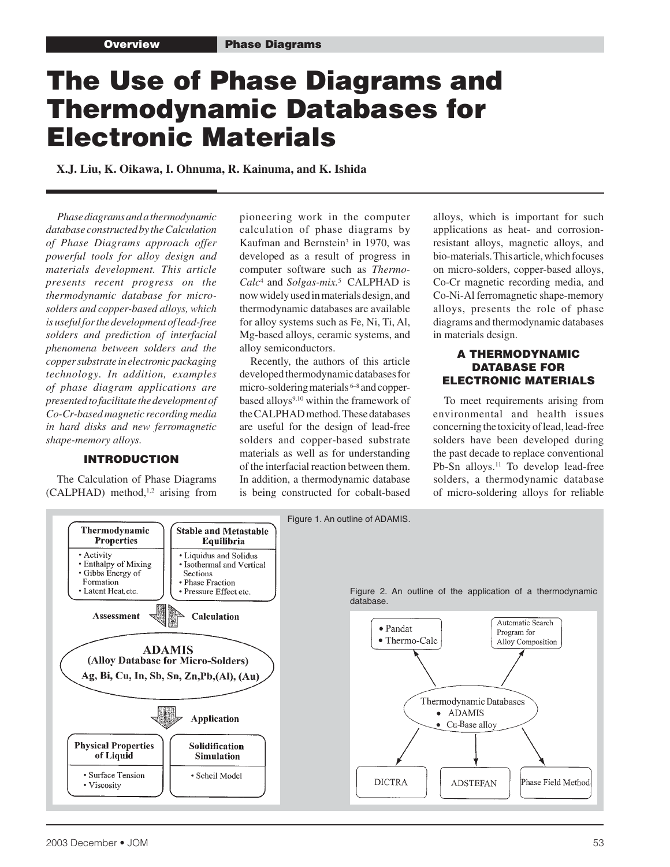# The Use of Phase Diagrams and Thermodynamic Databases for Electronic Materials

 **X.J. Liu, K. Oikawa, I. Ohnuma, R. Kainuma, and K. Ishida**

*Phase diagrams and a thermodynamic database constructed by the Calculation of Phase Diagrams approach offer powerful tools for alloy design and materials development. This article presents recent progress on the thermodynamic database for microsolders and copper-based alloys, which is useful for the development of lead-free solders and prediction of interfacial phenomena between solders and the copper substrate in electronic packaging technology. In addition, examples of phase diagram applications are presented to facilitate the development of Co-Cr-based magnetic recording media in hard disks and new ferromagnetic shape-memory alloys.*

#### INTRODUCTION

The Calculation of Phase Diagrams  $(CALPHAD)$  method,<sup>1,2</sup> arising from pioneering work in the computer calculation of phase diagrams by Kaufman and Bernstein<sup>3</sup> in 1970, was developed as a result of progress in computer software such as *Thermo-Calc*<sup>4</sup> and *Solgas-mix.*5 CALPHAD is now widely used in materials design, and thermodynamic databases are available for alloy systems such as Fe, Ni, Ti, Al, Mg-based alloys, ceramic systems, and alloy semiconductors.

Recently, the authors of this article developed thermodynamic databases for micro-soldering materials 6–8 and copperbased alloys<sup>9,10</sup> within the framework of the CALPHAD method. These databases are useful for the design of lead-free solders and copper-based substrate materials as well as for understanding of the interfacial reaction between them. In addition, a thermodynamic database is being constructed for cobalt-based

alloys, which is important for such applications as heat- and corrosionresistant alloys, magnetic alloys, and bio-materials. This article, which focuses on micro-solders, copper-based alloys, Co-Cr magnetic recording media, and Co-Ni-Al ferromagnetic shape-memory alloys, presents the role of phase diagrams and thermodynamic databases in materials design.

#### A THERMODYNAMIC DATABASE FOR ELECTRONIC MATERIALS

To meet requirements arising from environmental and health issues concerning the toxicity of lead, lead-free solders have been developed during the past decade to replace conventional Pb-Sn alloys.<sup>11</sup> To develop lead-free solders, a thermodynamic database of micro-soldering alloys for reliable

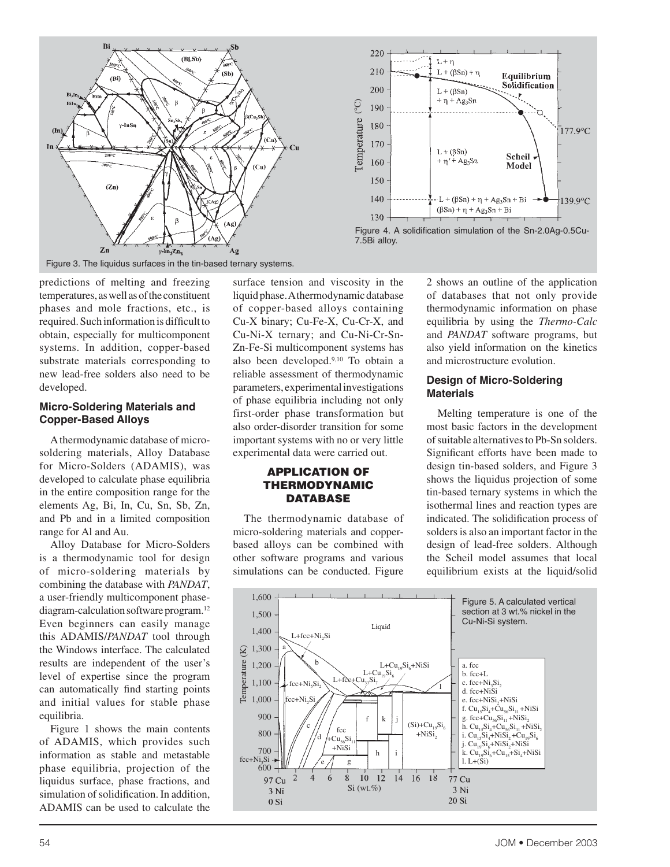



Figure 3. The liquidus surfaces in the tin-based ternary systems.

predictions of melting and freezing temperatures, as well as of the constituent phases and mole fractions, etc., is required. Such information is difficult to obtain, especially for multicomponent systems. In addition, copper-based substrate materials corresponding to new lead-free solders also need to be developed.

#### **Micro-Soldering Materials and Copper-Based Alloys**

A thermodynamic database of microsoldering materials, Alloy Database for Micro-Solders (ADAMIS), was developed to calculate phase equilibria in the entire composition range for the elements Ag, Bi, In, Cu, Sn, Sb, Zn, and Pb and in a limited composition range for Al and Au.

Alloy Database for Micro-Solders is a thermodynamic tool for design of micro-soldering materials by combining the database with *PANDAT*, a user-friendly multicomponent phasediagram-calculation software program.12 Even beginners can easily manage this ADAMIS/*PANDAT* tool through the Windows interface. The calculated results are independent of the user's level of expertise since the program can automatically find starting points and initial values for stable phase equilibria.

Figure 1 shows the main contents of ADAMIS, which provides such information as stable and metastable phase equilibria, projection of the liquidus surface, phase fractions, and simulation of solidification. In addition, ADAMIS can be used to calculate the

surface tension and viscosity in the liquid phase. A thermodynamic database of copper-based alloys containing Cu-X binary; Cu-Fe-X, Cu-Cr-X, and Cu-Ni-X ternary; and Cu-Ni-Cr-Sn-Zn-Fe-Si multicomponent systems has also been developed.9,10 To obtain a reliable assessment of thermodynamic parameters, experimental investigations of phase equilibria including not only first-order phase transformation but also order-disorder transition for some important systems with no or very little experimental data were carried out.

## APPLICATION OF THERMODYNAMIC **DATABASE**

The thermodynamic database of micro-soldering materials and copperbased alloys can be combined with other software programs and various simulations can be conducted. Figure

2 shows an outline of the application of databases that not only provide thermodynamic information on phase equilibria by using the *Thermo-Calc* and *PANDAT* software programs, but also yield information on the kinetics and microstructure evolution.

#### **Design of Micro-Soldering Materials**

Melting temperature is one of the most basic factors in the development of suitable alternatives to Pb-Sn solders. Significant efforts have been made to design tin-based solders, and Figure 3 shows the liquidus projection of some tin-based ternary systems in which the isothermal lines and reaction types are indicated. The solidification process of solders is also an important factor in the design of lead-free solders. Although the Scheil model assumes that local equilibrium exists at the liquid/solid

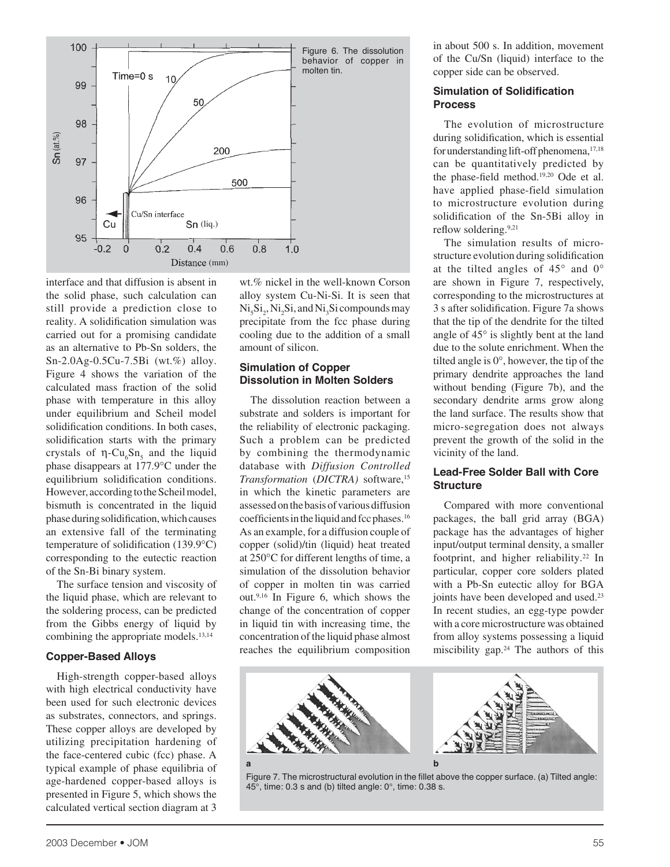

interface and that diffusion is absent in the solid phase, such calculation can still provide a prediction close to reality. A solidification simulation was carried out for a promising candidate as an alternative to Pb-Sn solders, the Sn-2.0Ag-0.5Cu-7.5Bi (wt.%) alloy. Figure 4 shows the variation of the calculated mass fraction of the solid phase with temperature in this alloy under equilibrium and Scheil model solidification conditions. In both cases, solidification starts with the primary crystals of  $\eta$ -Cu<sub>c</sub>Sn<sub>s</sub> and the liquid phase disappears at 177.9°C under the equilibrium solidification conditions. However, according to the Scheil model, bismuth is concentrated in the liquid phase during solidification, which causes an extensive fall of the terminating temperature of solidification (139.9°C) corresponding to the eutectic reaction of the Sn-Bi binary system.

The surface tension and viscosity of the liquid phase, which are relevant to the soldering process, can be predicted from the Gibbs energy of liquid by combining the appropriate models.<sup>13,14</sup>

## **Copper-Based Alloys**

High-strength copper-based alloys with high electrical conductivity have been used for such electronic devices as substrates, connectors, and springs. These copper alloys are developed by utilizing precipitation hardening of the face-centered cubic (fcc) phase. A typical example of phase equilibria of age-hardened copper-based alloys is presented in Figure 5, which shows the calculated vertical section diagram at 3

wt.% nickel in the well-known Corson alloy system Cu-Ni-Si. It is seen that  $\mathrm{Ni}_{5}\mathrm{Si}_{2}$ ,  $\mathrm{Ni}_{2}\mathrm{Si}$ , and  $\mathrm{Ni}_{3}\mathrm{Si}$  compounds may precipitate from the fcc phase during cooling due to the addition of a small amount of silicon.

# **Simulation of Copper Dissolution in Molten Solders**

The dissolution reaction between a substrate and solders is important for the reliability of electronic packaging. Such a problem can be predicted by combining the thermodynamic database with *Diffusion Controlled Transformation* (*DICTRA)* software,15 in which the kinetic parameters are assessed on the basis of various diffusion coefficients in the liquid and fcc phases.16 As an example, for a diffusion couple of copper (solid)/tin (liquid) heat treated at 250°C for different lengths of time, a simulation of the dissolution behavior of copper in molten tin was carried out.9,16 In Figure 6, which shows the change of the concentration of copper in liquid tin with increasing time, the concentration of the liquid phase almost reaches the equilibrium composition

in about 500 s. In addition, movement of the Cu/Sn (liquid) interface to the copper side can be observed.

## **Simulation of Solidification Process**

The evolution of microstructure during solidification, which is essential for understanding lift-off phenomena,<sup>17,18</sup> can be quantitatively predicted by the phase-field method.19,20 Ode et al. have applied phase-field simulation to microstructure evolution during solidification of the Sn-5Bi alloy in reflow soldering.<sup>9,21</sup>

The simulation results of microstructure evolution during solidification at the tilted angles of  $45^{\circ}$  and  $0^{\circ}$ are shown in Figure 7, respectively, corresponding to the microstructures at 3 s after solidification. Figure 7a shows that the tip of the dendrite for the tilted angle of 45° is slightly bent at the land due to the solute enrichment. When the tilted angle is 0°, however, the tip of the primary dendrite approaches the land without bending (Figure 7b), and the secondary dendrite arms grow along the land surface. The results show that micro-segregation does not always prevent the growth of the solid in the vicinity of the land.

# **Lead-Free Solder Ball with Core Structure**

Compared with more conventional packages, the ball grid array (BGA) package has the advantages of higher input/output terminal density, a smaller footprint, and higher reliability.<sup>22</sup> In particular, copper core solders plated with a Pb-Sn eutectic alloy for BGA joints have been developed and used.<sup>23</sup> In recent studies, an egg-type powder with a core microstructure was obtained from alloy systems possessing a liquid miscibility gap. $24$  The authors of this



Figure 7. The microstructural evolution in the fillet above the copper surface. (a) Tilted angle:  $45^{\circ}$ , time: 0.3 s and (b) tilted angle: 0°, time: 0.38 s.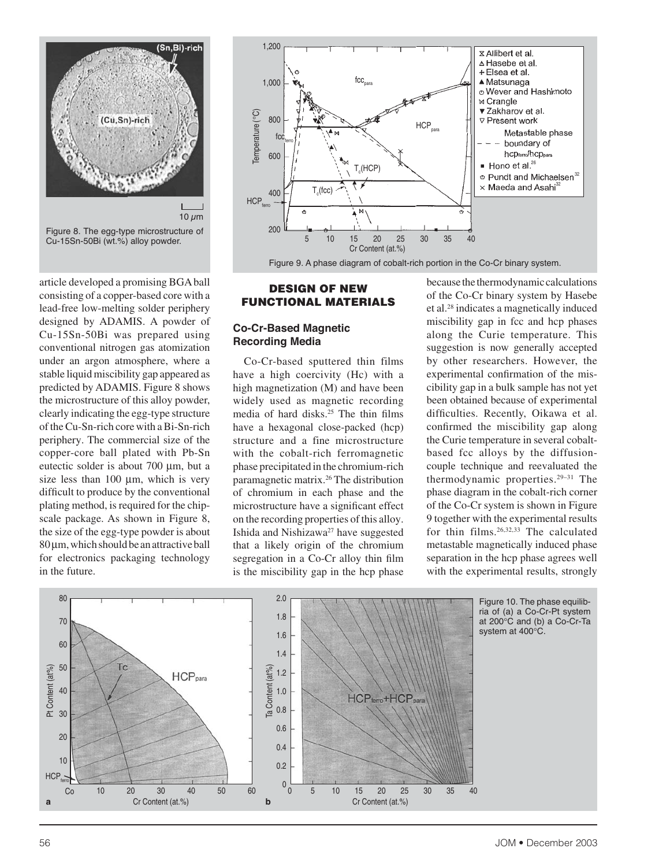

article developed a promising BGA ball consisting of a copper-based core with a lead-free low-melting solder periphery designed by ADAMIS. A powder of Cu-15Sn-50Bi was prepared using conventional nitrogen gas atomization under an argon atmosphere, where a stable liquid miscibility gap appeared as predicted by ADAMIS. Figure 8 shows the microstructure of this alloy powder, clearly indicating the egg-type structure of the Cu-Sn-rich core with a Bi-Sn-rich periphery. The commercial size of the copper-core ball plated with Pb-Sn eutectic solder is about 700 µm, but a size less than  $100 \mu m$ , which is very difficult to produce by the conventional plating method, is required for the chipscale package. As shown in Figure 8, the size of the egg-type powder is about  $80 \mu$ m, which should be an attractive ball for electronics packaging technology in the future.



#### DESIGN OF NEW FUNCTIONAL MATERIALS

# **Co-Cr-Based Magnetic Recording Media**

Co-Cr-based sputtered thin films have a high coercivity (Hc) with a high magnetization (M) and have been widely used as magnetic recording media of hard disks.25 The thin films have a hexagonal close-packed (hcp) structure and a fine microstructure with the cobalt-rich ferromagnetic phase precipitated in the chromium-rich paramagnetic matrix.26 The distribution of chromium in each phase and the microstructure have a significant effect on the recording properties of this alloy. Ishida and Nishizawa<sup>27</sup> have suggested that a likely origin of the chromium segregation in a Co-Cr alloy thin film is the miscibility gap in the hcp phase

because the thermodynamic calculations of the Co-Cr binary system by Hasebe et al.28 indicates a magnetically induced miscibility gap in fcc and hcp phases along the Curie temperature. This suggestion is now generally accepted by other researchers. However, the experimental confirmation of the miscibility gap in a bulk sample has not yet been obtained because of experimental difficulties. Recently, Oikawa et al. confirmed the miscibility gap along the Curie temperature in several cobaltbased fcc alloys by the diffusioncouple technique and reevaluated the thermodynamic properties.29–31 The phase diagram in the cobalt-rich corner of the Co-Cr system is shown in Figure 9 together with the experimental results for thin films.26,32,33 The calculated metastable magnetically induced phase separation in the hcp phase agrees well with the experimental results, strongly



Figure 10. The phase equilibria of (a) a Co-Cr-Pt system at 200°C and (b) a Co-Cr-Ta system at 400°C.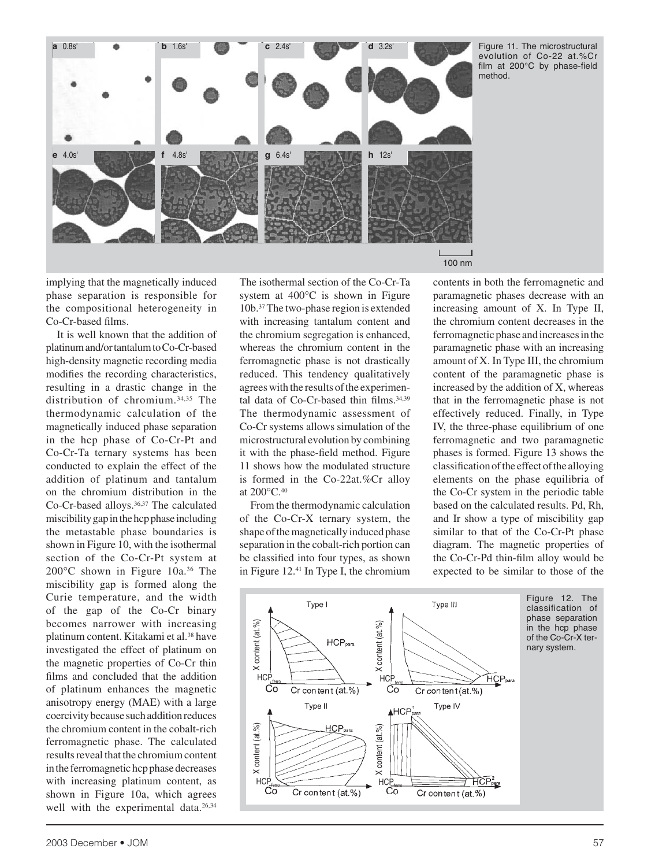

Figure 11. The microstructural evolution of Co-22 at.%Cr film at  $200^{\circ}$ C by phase-field method.

implying that the magnetically induced phase separation is responsible for the compositional heterogeneity in Co-Cr-based films.

It is well known that the addition of platinum and/or tantalum to Co-Cr-based high-density magnetic recording media modifies the recording characteristics, resulting in a drastic change in the distribution of chromium.34,35 The thermodynamic calculation of the magnetically induced phase separation in the hcp phase of Co-Cr-Pt and Co-Cr-Ta ternary systems has been conducted to explain the effect of the addition of platinum and tantalum on the chromium distribution in the Co-Cr-based alloys.36,37 The calculated miscibility gap in the hcp phase including the metastable phase boundaries is shown in Figure 10, with the isothermal section of the Co-Cr-Pt system at 200°C shown in Figure 10a.36 The miscibility gap is formed along the Curie temperature, and the width of the gap of the Co-Cr binary becomes narrower with increasing platinum content. Kitakami et al.38 have investigated the effect of platinum on the magnetic properties of Co-Cr thin films and concluded that the addition of platinum enhances the magnetic anisotropy energy (MAE) with a large coercivity because such addition reduces the chromium content in the cobalt-rich ferromagnetic phase. The calculated results reveal that the chromium content in the ferromagnetic hcp phase decreases with increasing platinum content, as shown in Figure 10a, which agrees well with the experimental data.<sup>26,34</sup>

The isothermal section of the Co-Cr-Ta system at 400°C is shown in Figure 10b.37The two-phase region is extended with increasing tantalum content and the chromium segregation is enhanced, whereas the chromium content in the ferromagnetic phase is not drastically reduced. This tendency qualitatively agrees with the results of the experimental data of Co-Cr-based thin films.<sup>34,39</sup> The thermodynamic assessment of Co-Cr systems allows simulation of the microstructural evolution by combining it with the phase-field method. Figure 11 shows how the modulated structure is formed in the Co-22at.%Cr alloy at 200°C.40

From the thermodynamic calculation of the Co-Cr-X ternary system, the shape of the magnetically induced phase separation in the cobalt-rich portion can be classified into four types, as shown in Figure 12.41 In Type I, the chromium contents in both the ferromagnetic and paramagnetic phases decrease with an increasing amount of X. In Type II, the chromium content decreases in the ferromagnetic phase and increases in the paramagnetic phase with an increasing amount of X. In Type III, the chromium content of the paramagnetic phase is increased by the addition of X, whereas that in the ferromagnetic phase is not effectively reduced. Finally, in Type IV, the three-phase equilibrium of one ferromagnetic and two paramagnetic phases is formed. Figure 13 shows the classification of the effect of the alloying elements on the phase equilibria of the Co-Cr system in the periodic table based on the calculated results. Pd, Rh, and Ir show a type of miscibility gap similar to that of the Co-Cr-Pt phase diagram. The magnetic properties of the Co-Cr-Pd thin-film alloy would be expected to be similar to those of the



Figure 12. The classification of phase separation in the hcp phase of the Co-Cr-X ternary system.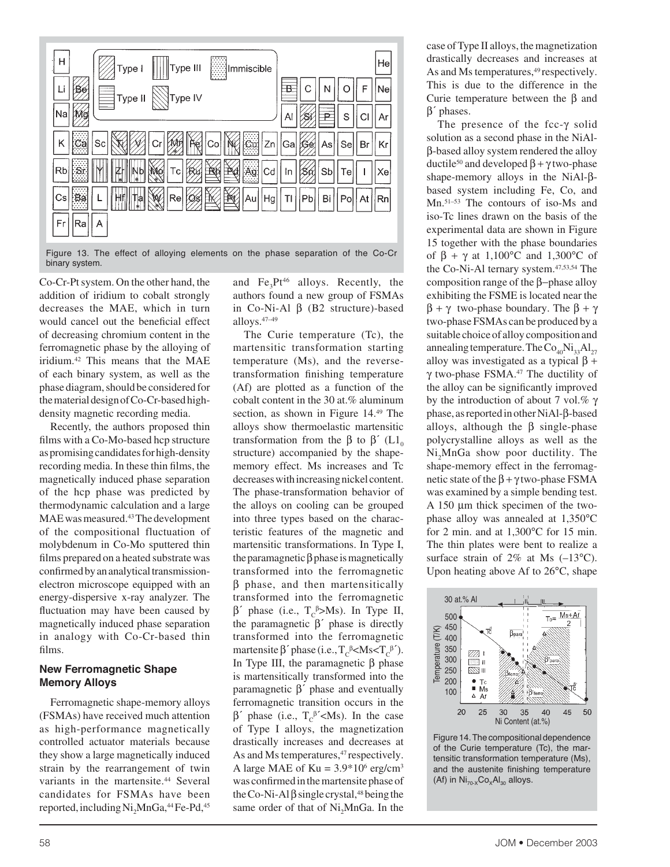| н<br>$\ $ Type III<br>Immiscible<br>Type I    |                              | He |
|-----------------------------------------------|------------------------------|----|
| $\mathbb{N}$ Type IV<br>$\frac{1}{3}$ Type II | B<br>F                       | Ne |
| Na                                            | Α<br>S                       | Ar |
| Cu<br>Zn<br>$\mathbb{R}$<br>Sc<br>Co          | Ga<br>Se<br>1561<br>As<br>Br | Kr |
| Ag.<br>赖国<br>Rb<br>Tc<br>Cd                   | Sb<br>In<br>Тe               | Xe |
| 顺<br>Re<br>Hg<br> Au                          | Bi<br>Pb<br>Po<br> At<br>TI  | Rn |
| Fr<br>Ra                                      |                              |    |

Figure 13. The effect of alloying elements on the phase separation of the Co-Cr binary system.

Co-Cr-Pt system. On the other hand, the addition of iridium to cobalt strongly decreases the MAE, which in turn would cancel out the beneficial effect of decreasing chromium content in the ferromagnetic phase by the alloying of iridium.42 This means that the MAE of each binary system, as well as the phase diagram, should be considered for the material design of Co-Cr-based highdensity magnetic recording media.

Recently, the authors proposed thin films with a Co-Mo-based hcp structure as promising candidates for high-density recording media. In these thin films, the magnetically induced phase separation of the hcp phase was predicted by thermodynamic calculation and a large MAE was measured.43The development of the compositional fluctuation of molybdenum in Co-Mo sputtered thin films prepared on a heated substrate was confirmed by an analytical transmissionelectron microscope equipped with an energy-dispersive x-ray analyzer. The fluctuation may have been caused by magnetically induced phase separation in analogy with Co-Cr-based thin films.

## **New Ferromagnetic Shape Memory Alloys**

Ferromagnetic shape-memory alloys (FSMAs) have received much attention as high-performance magnetically controlled actuator materials because they show a large magnetically induced strain by the rearrangement of twin variants in the martensite.<sup>44</sup> Several candidates for FSMAs have been reported, including  $\mathrm{Ni}_2\mathrm{MnGa}$ ,<sup>44</sup> Fe-Pd,<sup>45</sup>

and  $Fe<sub>3</sub>Pt<sup>46</sup>$  alloys. Recently, the authors found a new group of FSMAs in Co-Ni-Al β (B2 structure)-based alloys.47–49

The Curie temperature (Tc), the martensitic transformation starting temperature (Ms), and the reversetransformation finishing temperature (Af) are plotted as a function of the cobalt content in the 30 at.% aluminum section, as shown in Figure 14.49 The alloys show thermoelastic martensitic transformation from the β to β' (L1<sub>0</sub>) structure) accompanied by the shapememory effect. Ms increases and Tc decreases with increasing nickel content. The phase-transformation behavior of the alloys on cooling can be grouped into three types based on the characteristic features of the magnetic and martensitic transformations. In Type I, the paramagnetic  $\beta$  phase is magnetically transformed into the ferromagnetic β phase, and then martensitically transformed into the ferromagnetic  $β'$  phase (i.e., T<sub>c</sub><sup>β</sup>>Ms). In Type II, the paramagnetic  $β'$  phase is directly transformed into the ferromagnetic martensite  $\beta'$  phase (i.e.,  $T_c^{\beta}$  < Ms <  $T_c^{\beta'}$ ). In Type III, the paramagnetic  $β$  phase is martensitically transformed into the paramagnetic β´ phase and eventually ferromagnetic transition occurs in the  $β'$  phase (i.e.,  $T_c^β' < Ms$ ). In the case of Type I alloys, the magnetization drastically increases and decreases at As and Ms temperatures,<sup>47</sup> respectively. A large MAE of  $Ku = 3.9*10^6$  erg/cm<sup>3</sup> was confirmed in the martensite phase of the Co-Ni-Al  $\beta$  single crystal,<sup>48</sup> being the same order of that of  $Ni<sub>2</sub>MnGa$ . In the case of Type II alloys, the magnetization drastically decreases and increases at As and Ms temperatures,<sup>49</sup> respectively. This is due to the difference in the Curie temperature between the β and β´ phases.

The presence of the fcc-γ solid solution as a second phase in the NiAlβ-based alloy system rendered the alloy ductile<sup>50</sup> and developed  $β + γ$  two-phase shape-memory alloys in the NiAl-βbased system including Fe, Co, and Mn.51–53 The contours of iso-Ms and iso-Tc lines drawn on the basis of the experimental data are shown in Figure 15 together with the phase boundaries of  $\beta + \gamma$  at 1,100°C and 1,300°C of the Co-Ni-Al ternary system.<sup>47,53,54</sup> The composition range of the β−phase alloy exhibiting the FSME is located near the β + γ two-phase boundary. The β + γ two-phase FSMAs can be produced by a suitable choice of alloy composition and annealing temperature. The  $Co<sub>40</sub>Ni<sub>33</sub>Al<sub>27</sub>$ alloy was investigated as a typical  $β +$ γ two-phase FSMA. $47$  The ductility of the alloy can be significantly improved by the introduction of about 7 vol.%  $\gamma$ phase, as reported in other NiAl-β-based alloys, although the  $\beta$  single-phase polycrystalline alloys as well as the Ni<sub>2</sub>MnGa show poor ductility. The shape-memory effect in the ferromagnetic state of the  $\beta + \gamma$  two-phase FSMA was examined by a simple bending test. A 150 µm thick specimen of the twophase alloy was annealed at 1,350°C for 2 min. and at 1,300°C for 15 min. The thin plates were bent to realize a surface strain of  $2\%$  at Ms  $(-13^{\circ}C)$ . Upon heating above Af to 26°C, shape



Figure 14. The compositional dependence of the Curie temperature (Tc), the martensitic transformation temperature (Ms), and the austenite finishing temperature (Af) in  $Ni_{70-x}Co_xAl_{30}$  alloys.